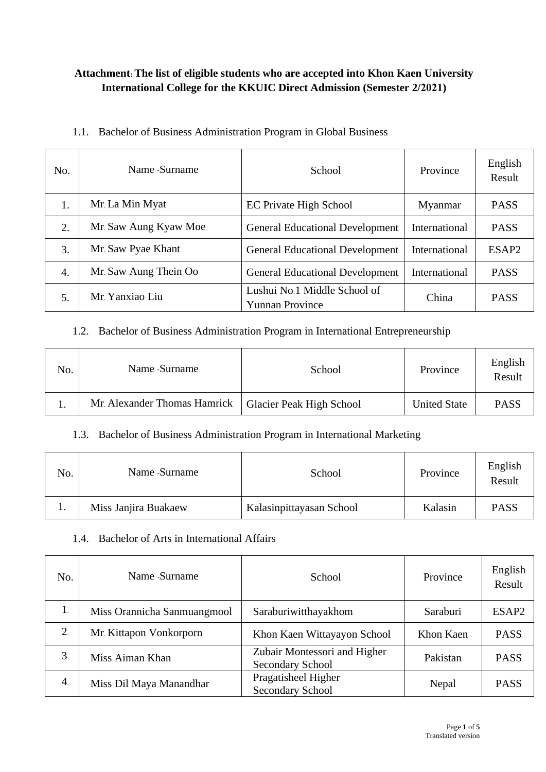### **Attachment: The list of eligible students who are accepted into Khon Kaen University International College for the KKUIC Direct Admission (Semester 2/2021)**

|  | 1.1. Bachelor of Business Administration Program in Global Business |  |  |  |  |
|--|---------------------------------------------------------------------|--|--|--|--|
|--|---------------------------------------------------------------------|--|--|--|--|

| No. | Name -Surname         | School                                                 | Province      | English<br>Result |
|-----|-----------------------|--------------------------------------------------------|---------------|-------------------|
| 1.  | Mr. La Min Myat       | <b>EC Private High School</b>                          | Myanmar       | <b>PASS</b>       |
| 2.  | Mr. Saw Aung Kyaw Moe | <b>General Educational Development</b>                 | International | <b>PASS</b>       |
| 3.  | Mr. Saw Pyae Khant    | <b>General Educational Development</b>                 | International | ESAP <sub>2</sub> |
| 4.  | Mr. Saw Aung Thein Oo | <b>General Educational Development</b>                 | International | <b>PASS</b>       |
| 5.  | Mr. Yanxiao Liu       | Lushui No.1 Middle School of<br><b>Yunnan Province</b> | China         | <b>PASS</b>       |

### 1.2. Bachelor of Business Administration Program in International Entrepreneurship

| No. | Name -Surname                | School                          | Province            | English<br>Result |
|-----|------------------------------|---------------------------------|---------------------|-------------------|
|     | Mr. Alexander Thomas Hamrick | <b>Glacier Peak High School</b> | <b>United State</b> | <b>PASS</b>       |

### 1.3. Bachelor of Business Administration Program in International Marketing

| No. | Name -Surname        | School                   | Province | English<br>Result |
|-----|----------------------|--------------------------|----------|-------------------|
| . . | Miss Janjira Buakaew | Kalasinpittayasan School | Kalasin  | <b>PASS</b>       |

#### 1.4. Bachelor of Arts in International Affairs

| No.              | Name -Surname               | School                                           | Province  | English<br>Result |
|------------------|-----------------------------|--------------------------------------------------|-----------|-------------------|
| 1.               | Miss Orannicha Sanmuangmool | Saraburiwitthayakhom                             | Saraburi  | ESAP <sub>2</sub> |
| $\overline{2}$ . | Mr. Kittapon Vonkorporn     | Khon Kaen Wittayayon School                      | Khon Kaen | <b>PASS</b>       |
| 3.               | Miss Aiman Khan             | Zubair Montessori and Higher<br>Secondary School | Pakistan  | <b>PASS</b>       |
| $\overline{4}$ . | Miss Dil Maya Manandhar     | Pragatisheel Higher<br><b>Secondary School</b>   | Nepal     | <b>PASS</b>       |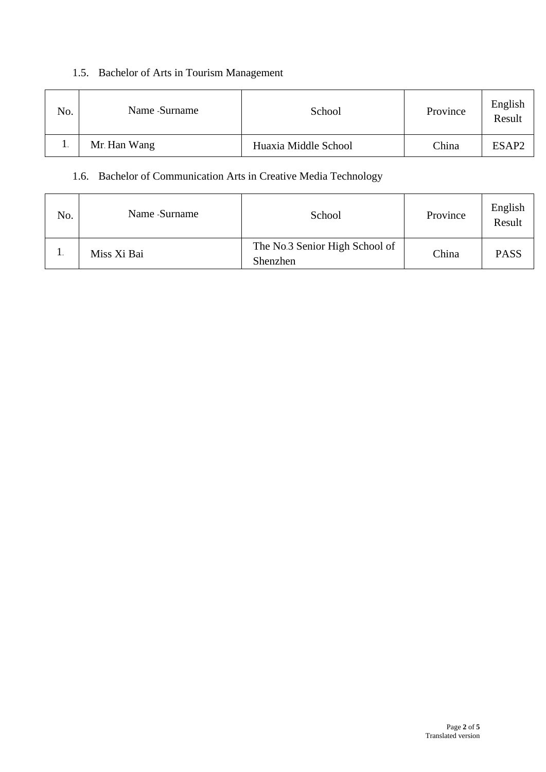# 1.5. Bachelor of Arts in Tourism Management

| No. | Name -Surname | School               | Province | English<br>Result |
|-----|---------------|----------------------|----------|-------------------|
|     | Mr. Han Wang  | Huaxia Middle School | China    | ESAP <sub>2</sub> |

### 1.6. Bachelor of Communication Arts in Creative Media Technology

| No. | Name -Surname | School                                     | Province | English<br>Result |
|-----|---------------|--------------------------------------------|----------|-------------------|
|     | Miss Xi Bai   | The No.3 Senior High School of<br>Shenzhen | China    | <b>PASS</b>       |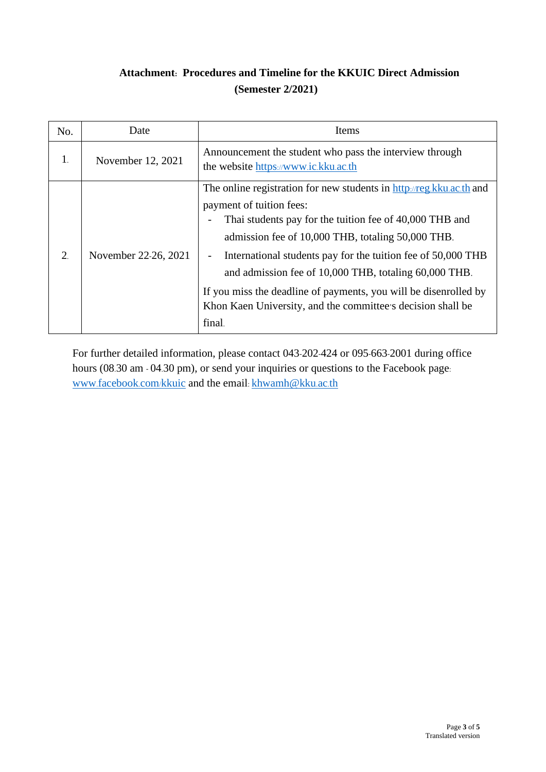# **Attachment: Procedures and Timeline for the KKUIC Direct Admission (Semester 2/2021)**

| No. | Date                 | Items                                                                                                                                                                                                                                                                                                                                                                                                                                                                                  |
|-----|----------------------|----------------------------------------------------------------------------------------------------------------------------------------------------------------------------------------------------------------------------------------------------------------------------------------------------------------------------------------------------------------------------------------------------------------------------------------------------------------------------------------|
| 1.  | November 12, 2021    | Announcement the student who pass the interview through<br>the website https://www.ic.kku.ac.th                                                                                                                                                                                                                                                                                                                                                                                        |
| 2   | November 22-26, 2021 | The online registration for new students in http://reg.kku.ac.th and<br>payment of tuition fees:<br>Thai students pay for the tuition fee of 40,000 THB and<br>admission fee of 10,000 THB, totaling 50,000 THB.<br>International students pay for the tuition fee of 50,000 THB<br>and admission fee of 10,000 THB, totaling 60,000 THB.<br>If you miss the deadline of payments, you will be disenrolled by<br>Khon Kaen University, and the committee's decision shall be<br>final. |

For further detailed information, please contact 043-202-424 or 095-663-2001 during office hours (08.30 am - 04.30 pm), or send your inquiries or questions to the Facebook page: www.[facebook](http://www.facebook.com/kkuic).com/kkuic and the email: [khwamh@kku](mailto:khwamh@kku.ac.th).ac.th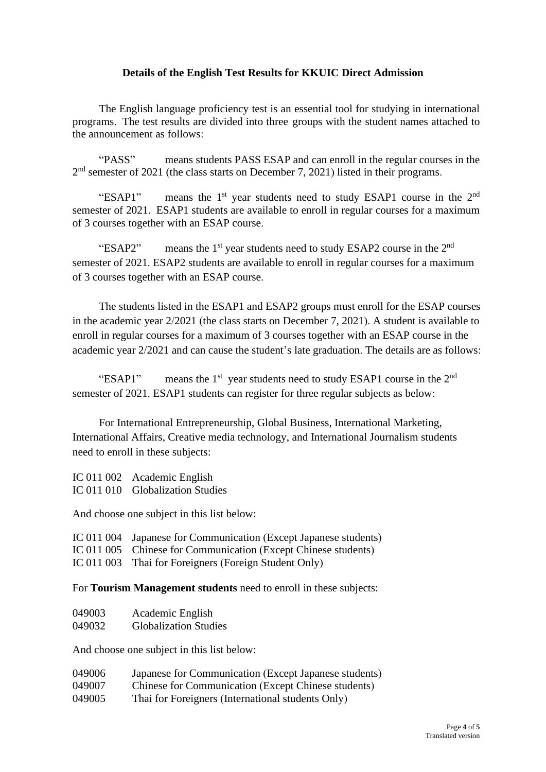#### **Details of the English Test Results for KKUIC Direct Admission**

The English language proficiency test is an essential tool for studying in international programs. The test results are divided into three groups with the student names attached to the announcement as follows:

"PASS" means students PASS ESAP and can enroll in the regular courses in the  $2<sup>nd</sup>$  semester of 2021 (the class starts on December 7, 2021) listed in their programs.

"ESAP1" means the  $1<sup>st</sup>$  year students need to study ESAP1 course in the  $2<sup>nd</sup>$ semester of 2021. ESAP1 students are available to enroll in regular courses for a maximum of 3 courses together with an ESAP course.

"ESAP2" means the  $1<sup>st</sup>$  year students need to study ESAP2 course in the  $2<sup>nd</sup>$ semester of 2021. ESAP2 students are available to enroll in regular courses for a maximum of 3 courses together with an ESAP course.

The students listed in the ESAP1 and ESAP2 groups must enroll for the ESAP courses in the academic year 2/2021 (the class starts on December 7, 2021). A student is available to enroll in regular courses for a maximum of 3 courses together with an ESAP course in the academic year 2/2021 and can cause the student's late graduation. The details are as follows:

"ESAP1" means the  $1<sup>st</sup>$  year students need to study ESAP1 course in the  $2<sup>nd</sup>$ semester of 2021. ESAP1 students can register for three regular subjects as below:

For International Entrepreneurship, Global Business, International Marketing, International Affairs, Creative media technology, and International Journalism students need to enroll in these subjects:

IC 011 002 Academic English IC 011 010 Globalization Studies

And choose one subject in this list below:

| IC 011 004 Japanese for Communication (Except Japanese students) |  |
|------------------------------------------------------------------|--|
|                                                                  |  |

IC 011 005 Chinese for Communication (Except Chinese students)

IC 011 003 Thai for Foreigners (Foreign Student Only)

For **Tourism Management students** need to enroll in these subjects:

| 049003 | Academic English             |
|--------|------------------------------|
| 049032 | <b>Globalization Studies</b> |

And choose one subject in this list below:

| 049006 | Japanese for Communication (Except Japanese students) |
|--------|-------------------------------------------------------|
| 049007 | Chinese for Communication (Except Chinese students)   |
| 049005 | Thai for Foreigners (International students Only)     |